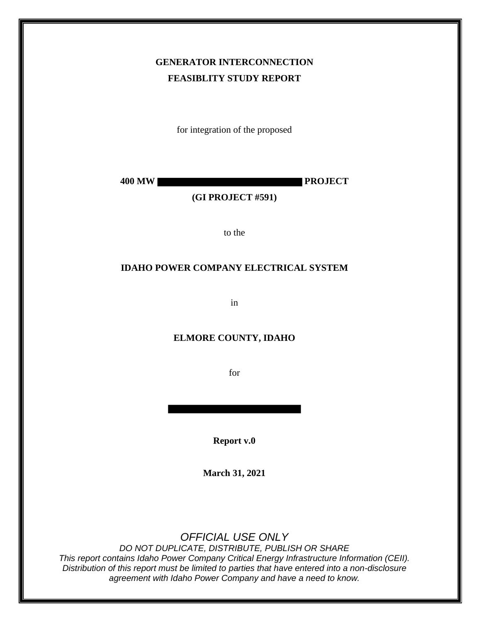# **GENERATOR INTERCONNECTION FEASIBLITY STUDY REPORT**

for integration of the proposed

**400 MW PROJECT**

### **(GI PROJECT #591)**

to the

#### **IDAHO POWER COMPANY ELECTRICAL SYSTEM**

in

### **ELMORE COUNTY, IDAHO**

for

**Report v.0**

**March 31, 2021**

# *OFFICIAL USE ONLY*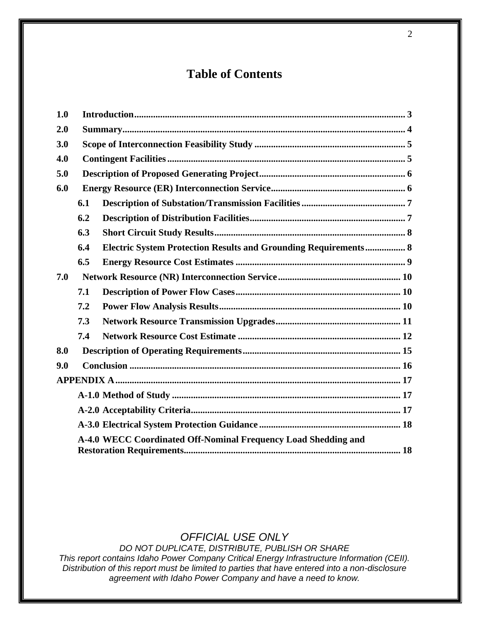# **Table of Contents**

| 1.0 |     |                                                                        |  |  |  |
|-----|-----|------------------------------------------------------------------------|--|--|--|
| 2.0 |     |                                                                        |  |  |  |
| 3.0 |     |                                                                        |  |  |  |
| 4.0 |     |                                                                        |  |  |  |
| 5.0 |     |                                                                        |  |  |  |
| 6.0 |     |                                                                        |  |  |  |
|     | 6.1 |                                                                        |  |  |  |
|     | 6.2 |                                                                        |  |  |  |
|     | 6.3 |                                                                        |  |  |  |
|     | 6.4 | <b>Electric System Protection Results and Grounding Requirements 8</b> |  |  |  |
|     | 6.5 |                                                                        |  |  |  |
| 7.0 |     |                                                                        |  |  |  |
|     | 7.1 |                                                                        |  |  |  |
|     | 7.2 |                                                                        |  |  |  |
|     | 7.3 |                                                                        |  |  |  |
|     | 7.4 |                                                                        |  |  |  |
| 8.0 |     |                                                                        |  |  |  |
| 9.0 |     |                                                                        |  |  |  |
|     |     |                                                                        |  |  |  |
|     |     |                                                                        |  |  |  |
|     |     |                                                                        |  |  |  |
|     |     |                                                                        |  |  |  |
|     |     | A-4.0 WECC Coordinated Off-Nominal Frequency Load Shedding and         |  |  |  |
|     |     |                                                                        |  |  |  |

# *OFFICIAL USE ONLY*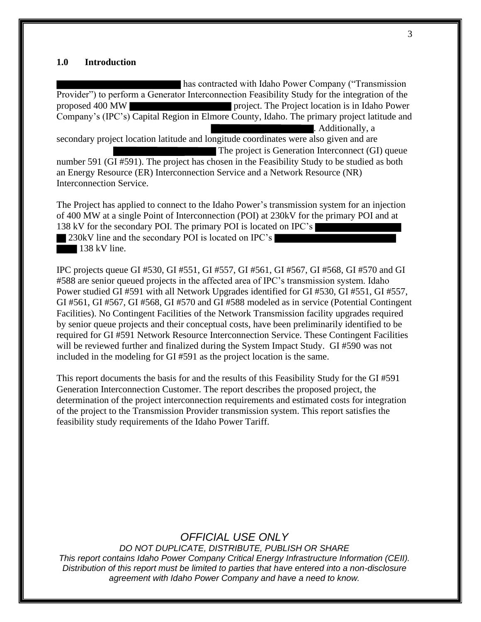#### **1.0 Introduction**

has contracted with Idaho Power Company ("Transmission Provider") to perform a Generator Interconnection Feasibility Study for the integration of the proposed 400 MW project. The Project location is in Idaho Power Company's (IPC's) Capital Region in Elmore County, Idaho. The primary project latitude and . Additionally, a secondary project location latitude and longitude coordinates were also given and are The project is Generation Interconnect (GI) queue number 591 (GI #591). The project has chosen in the Feasibility Study to be studied as both an Energy Resource (ER) Interconnection Service and a Network Resource (NR) Interconnection Service.

The Project has applied to connect to the Idaho Power's transmission system for an injection of 400 MW at a single Point of Interconnection (POI) at 230kV for the primary POI and at 138 kV for the secondary POI. The primary POI is located on IPC's 230kV line and the secondary POI is located on IPC's  $138$  kV line.

IPC projects queue GI #530, GI #551, GI #557, GI #561, GI #567, GI #568, GI #570 and GI #588 are senior queued projects in the affected area of IPC's transmission system. Idaho Power studied GI #591 with all Network Upgrades identified for GI #530, GI #551, GI #557, GI #561, GI #567, GI #568, GI #570 and GI #588 modeled as in service (Potential Contingent Facilities). No Contingent Facilities of the Network Transmission facility upgrades required by senior queue projects and their conceptual costs, have been preliminarily identified to be required for GI #591 Network Resource Interconnection Service. These Contingent Facilities will be reviewed further and finalized during the System Impact Study. GI #590 was not included in the modeling for GI #591 as the project location is the same.

This report documents the basis for and the results of this Feasibility Study for the GI #591 Generation Interconnection Customer. The report describes the proposed project, the determination of the project interconnection requirements and estimated costs for integration of the project to the Transmission Provider transmission system. This report satisfies the feasibility study requirements of the Idaho Power Tariff.

## *OFFICIAL USE ONLY*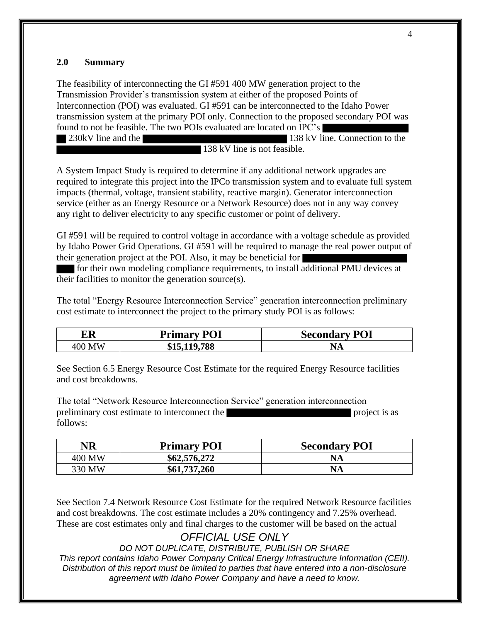### **2.0 Summary**

The feasibility of interconnecting the GI #591 400 MW generation project to the Transmission Provider's transmission system at either of the proposed Points of Interconnection (POI) was evaluated. GI #591 can be interconnected to the Idaho Power transmission system at the primary POI only. Connection to the proposed secondary POI was found to not be feasible. The two POIs evaluated are located on IPC's

230kV line and the 138 kV line. Connection to the 138 kV line is not feasible.

A System Impact Study is required to determine if any additional network upgrades are required to integrate this project into the IPCo transmission system and to evaluate full system impacts (thermal, voltage, transient stability, reactive margin). Generator interconnection service (either as an Energy Resource or a Network Resource) does not in any way convey any right to deliver electricity to any specific customer or point of delivery.

GI #591 will be required to control voltage in accordance with a voltage schedule as provided by Idaho Power Grid Operations. GI #591 will be required to manage the real power output of their generation project at the POI. Also, it may be beneficial for

for their own modeling compliance requirements, to install additional PMU devices at their facilities to monitor the generation source(s).

The total "Energy Resource Interconnection Service" generation interconnection preliminary cost estimate to interconnect the project to the primary study POI is as follows:

| ER               | POI<br>Primarv    | <b>Secondary POI</b> |
|------------------|-------------------|----------------------|
| 400<br><b>MW</b> | ,119,788<br>\$15. | INA                  |

See Section 6.5 Energy Resource Cost Estimate for the required Energy Resource facilities and cost breakdowns.

The total "Network Resource Interconnection Service" generation interconnection preliminary cost estimate to interconnect the project is as follows:

| NR     | <b>Primary POI</b> | <b>Secondary POI</b> |
|--------|--------------------|----------------------|
| 400 MW | \$62,576,272       | <b>NA</b>            |
| 330 MW | \$61,737,260       | <b>NA</b>            |

See Section 7.4 Network Resource Cost Estimate for the required Network Resource facilities and cost breakdowns. The cost estimate includes a 20% contingency and 7.25% overhead. These are cost estimates only and final charges to the customer will be based on the actual

# *OFFICIAL USE ONLY*

*DO NOT DUPLICATE, DISTRIBUTE, PUBLISH OR SHARE*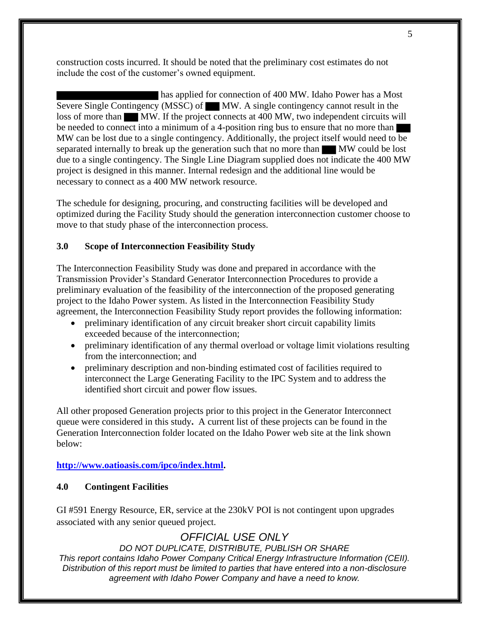construction costs incurred. It should be noted that the preliminary cost estimates do not include the cost of the customer's owned equipment.

 has applied for connection of 400 MW. Idaho Power has a Most Severe Single Contingency (MSSC) of MW. A single contingency cannot result in the loss of more than MW. If the project connects at 400 MW, two independent circuits will be needed to connect into a minimum of a 4-position ring bus to ensure that no more than MW can be lost due to a single contingency. Additionally, the project itself would need to be separated internally to break up the generation such that no more than MW could be lost due to a single contingency. The Single Line Diagram supplied does not indicate the 400 MW project is designed in this manner. Internal redesign and the additional line would be necessary to connect as a 400 MW network resource.

The schedule for designing, procuring, and constructing facilities will be developed and optimized during the Facility Study should the generation interconnection customer choose to move to that study phase of the interconnection process.

#### **3.0 Scope of Interconnection Feasibility Study**

The Interconnection Feasibility Study was done and prepared in accordance with the Transmission Provider's Standard Generator Interconnection Procedures to provide a preliminary evaluation of the feasibility of the interconnection of the proposed generating project to the Idaho Power system. As listed in the Interconnection Feasibility Study agreement, the Interconnection Feasibility Study report provides the following information:

- preliminary identification of any circuit breaker short circuit capability limits exceeded because of the interconnection;
- preliminary identification of any thermal overload or voltage limit violations resulting from the interconnection; and
- preliminary description and non-binding estimated cost of facilities required to interconnect the Large Generating Facility to the IPC System and to address the identified short circuit and power flow issues.

All other proposed Generation projects prior to this project in the Generator Interconnect queue were considered in this study**.** A current list of these projects can be found in the Generation Interconnection folder located on the Idaho Power web site at the link shown below:

#### **http://www.oatioasis.com/ipco/index.html.**

#### **4.0 Contingent Facilities**

GI #591 Energy Resource, ER, service at the 230kV POI is not contingent upon upgrades associated with any senior queued project.

# *OFFICIAL USE ONLY*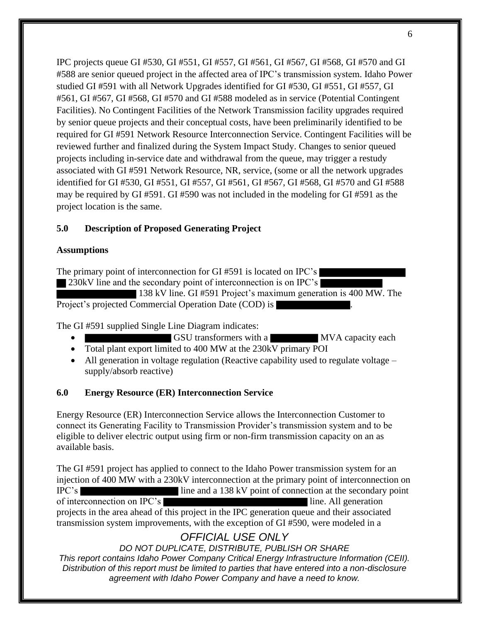IPC projects queue GI #530, GI #551, GI #557, GI #561, GI #567, GI #568, GI #570 and GI #588 are senior queued project in the affected area of IPC's transmission system. Idaho Power studied GI #591 with all Network Upgrades identified for GI #530, GI #551, GI #557, GI #561, GI #567, GI #568, GI #570 and GI #588 modeled as in service (Potential Contingent Facilities). No Contingent Facilities of the Network Transmission facility upgrades required by senior queue projects and their conceptual costs, have been preliminarily identified to be required for GI #591 Network Resource Interconnection Service. Contingent Facilities will be reviewed further and finalized during the System Impact Study. Changes to senior queued projects including in-service date and withdrawal from the queue, may trigger a restudy associated with GI #591 Network Resource, NR, service, (some or all the network upgrades identified for GI #530, GI #551, GI #557, GI #561, GI #567, GI #568, GI #570 and GI #588 may be required by GI #591. GI #590 was not included in the modeling for GI #591 as the project location is the same.

## **5.0 Description of Proposed Generating Project**

### **Assumptions**

The primary point of interconnection for GI #591 is located on IPC's 230kV line and the secondary point of interconnection is on IPC's 138 kV line. GI #591 Project's maximum generation is 400 MW. The

Project's projected Commercial Operation Date (COD) is

The GI #591 supplied Single Line Diagram indicates:

- GSU transformers with a MVA capacity each
- Total plant export limited to 400 MW at the 230kV primary POI
- All generation in voltage regulation (Reactive capability used to regulate voltage supply/absorb reactive)

## **6.0 Energy Resource (ER) Interconnection Service**

Energy Resource (ER) Interconnection Service allows the Interconnection Customer to connect its Generating Facility to Transmission Provider's transmission system and to be eligible to deliver electric output using firm or non-firm transmission capacity on an as available basis.

The GI #591 project has applied to connect to the Idaho Power transmission system for an injection of 400 MW with a 230kV interconnection at the primary point of interconnection on IPC's line and a 138 kV point of connection at the secondary point of interconnection on IPC's line. All generation projects in the area ahead of this project in the IPC generation queue and their associated transmission system improvements, with the exception of GI #590, were modeled in a

# *OFFICIAL USE ONLY*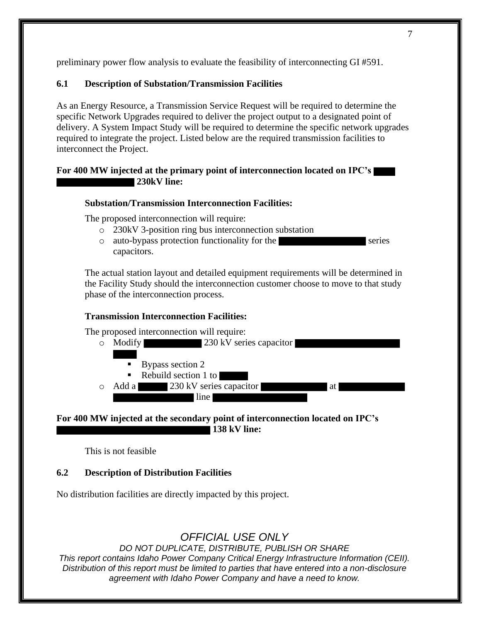preliminary power flow analysis to evaluate the feasibility of interconnecting GI #591.

## **6.1 Description of Substation/Transmission Facilities**

As an Energy Resource, a Transmission Service Request will be required to determine the specific Network Upgrades required to deliver the project output to a designated point of delivery. A System Impact Study will be required to determine the specific network upgrades required to integrate the project. Listed below are the required transmission facilities to interconnect the Project.

### **For 400 MW injected at the primary point of interconnection located on IPC's 230kV line:**

## **Substation/Transmission Interconnection Facilities:**

The proposed interconnection will require:

- o 230kV 3-position ring bus interconnection substation
- $\circ$  auto-bypass protection functionality for the series capacitors.

The actual station layout and detailed equipment requirements will be determined in the Facility Study should the interconnection customer choose to move to that study phase of the interconnection process.

## **Transmission Interconnection Facilities:**

The proposed interconnection will require:



## **For 400 MW injected at the secondary point of interconnection located on IPC's 138 kV line:**

This is not feasible

## **6.2 Description of Distribution Facilities**

No distribution facilities are directly impacted by this project.

# *OFFICIAL USE ONLY*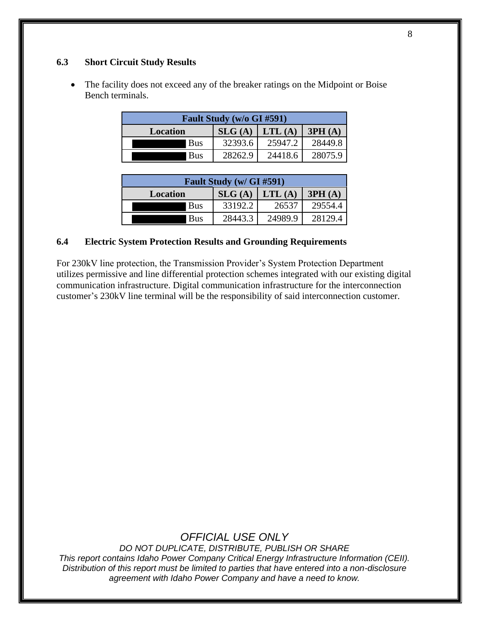### **6.3 Short Circuit Study Results**

• The facility does not exceed any of the breaker ratings on the Midpoint or Boise Bench terminals.

| Fault Study (w/o GI #591) |                  |         |         |
|---------------------------|------------------|---------|---------|
| <b>Location</b>           | $SLG(A)$ LTL (A) |         | 3PH(A)  |
| <b>Bus</b>                | 32393.6          | 25947.2 | 28449.8 |
| <b>Bus</b>                | 28262.9          | 24418.6 | 28075.9 |

| <b>Fault Study (w/ GI #591)</b> |         |         |         |
|---------------------------------|---------|---------|---------|
| <b>Location</b>                 | SLG(A)  | LTL(A)  | 3PH(A)  |
| <b>Bus</b>                      | 33192.2 | 26537   | 29554.4 |
| Bus                             | 28443.3 | 24989.9 | 28129.4 |

### **6.4 Electric System Protection Results and Grounding Requirements**

For 230kV line protection, the Transmission Provider's System Protection Department utilizes permissive and line differential protection schemes integrated with our existing digital communication infrastructure. Digital communication infrastructure for the interconnection customer's 230kV line terminal will be the responsibility of said interconnection customer.

# *OFFICIAL USE ONLY*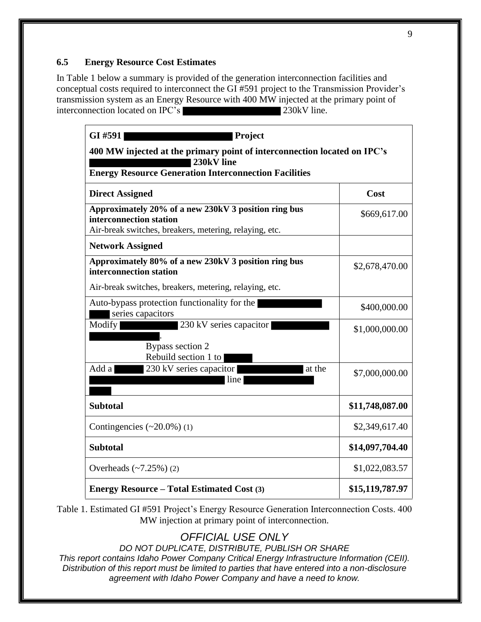### **6.5 Energy Resource Cost Estimates**

In Table 1 below a summary is provided of the generation interconnection facilities and conceptual costs required to interconnect the GI #591 project to the Transmission Provider's transmission system as an Energy Resource with 400 MW injected at the primary point of interconnection located on IPC's 230kV line.

| GI #591<br><b>Project</b><br>400 MW injected at the primary point of interconnection located on IPC's                                     |                 |  |  |  |
|-------------------------------------------------------------------------------------------------------------------------------------------|-----------------|--|--|--|
|                                                                                                                                           |                 |  |  |  |
| <b>Direct Assigned</b>                                                                                                                    | Cost            |  |  |  |
| Approximately 20% of a new 230kV 3 position ring bus<br>interconnection station<br>Air-break switches, breakers, metering, relaying, etc. | \$669,617.00    |  |  |  |
| <b>Network Assigned</b>                                                                                                                   |                 |  |  |  |
| Approximately 80% of a new 230kV 3 position ring bus<br>interconnection station                                                           | \$2,678,470.00  |  |  |  |
| Air-break switches, breakers, metering, relaying, etc.                                                                                    |                 |  |  |  |
| Auto-bypass protection functionality for the<br>series capacitors                                                                         | \$400,000.00    |  |  |  |
| 230 kV series capacitor<br>Modify                                                                                                         | \$1,000,000.00  |  |  |  |
| Bypass section 2<br>Rebuild section 1 to                                                                                                  |                 |  |  |  |
| 230 kV series capacitor<br>Add a<br>at the<br>line                                                                                        | \$7,000,000.00  |  |  |  |
| <b>Subtotal</b>                                                                                                                           | \$11,748,087.00 |  |  |  |
| Contingencies $(\sim 20.0\%)$ (1)                                                                                                         | \$2,349,617.40  |  |  |  |
| <b>Subtotal</b>                                                                                                                           | \$14,097,704.40 |  |  |  |
| Overheads $(-7.25%)$ (2)                                                                                                                  | \$1,022,083.57  |  |  |  |
| <b>Energy Resource – Total Estimated Cost (3)</b>                                                                                         | \$15,119,787.97 |  |  |  |

Table 1. Estimated GI #591 Project's Energy Resource Generation Interconnection Costs. 400 MW injection at primary point of interconnection.

# *OFFICIAL USE ONLY*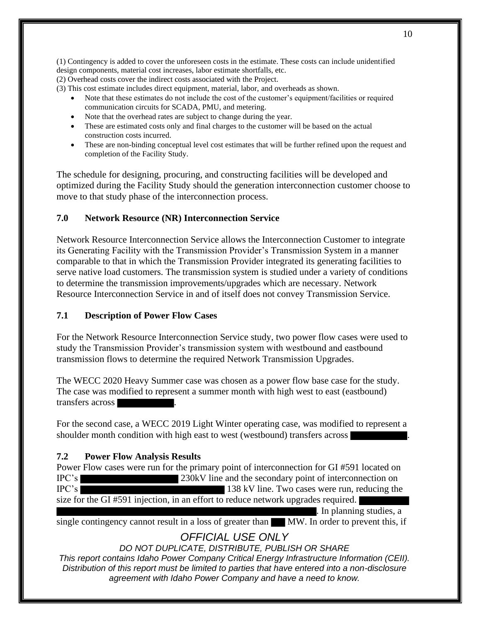(1) Contingency is added to cover the unforeseen costs in the estimate. These costs can include unidentified design components, material cost increases, labor estimate shortfalls, etc.

(2) Overhead costs cover the indirect costs associated with the Project.

- (3) This cost estimate includes direct equipment, material, labor, and overheads as shown.
	- Note that these estimates do not include the cost of the customer's equipment/facilities or required communication circuits for SCADA, PMU, and metering.
	- Note that the overhead rates are subject to change during the year.
	- These are estimated costs only and final charges to the customer will be based on the actual construction costs incurred.
	- These are non-binding conceptual level cost estimates that will be further refined upon the request and completion of the Facility Study.

The schedule for designing, procuring, and constructing facilities will be developed and optimized during the Facility Study should the generation interconnection customer choose to move to that study phase of the interconnection process.

#### **7.0 Network Resource (NR) Interconnection Service**

Network Resource Interconnection Service allows the Interconnection Customer to integrate its Generating Facility with the Transmission Provider's Transmission System in a manner comparable to that in which the Transmission Provider integrated its generating facilities to serve native load customers. The transmission system is studied under a variety of conditions to determine the transmission improvements/upgrades which are necessary. Network Resource Interconnection Service in and of itself does not convey Transmission Service.

### **7.1 Description of Power Flow Cases**

For the Network Resource Interconnection Service study, two power flow cases were used to study the Transmission Provider's transmission system with westbound and eastbound transmission flows to determine the required Network Transmission Upgrades.

The WECC 2020 Heavy Summer case was chosen as a power flow base case for the study. The case was modified to represent a summer month with high west to east (eastbound) transfers across .

For the second case, a WECC 2019 Light Winter operating case, was modified to represent a shoulder month condition with high east to west (westbound) transfers across

### **7.2 Power Flow Analysis Results**

Power Flow cases were run for the primary point of interconnection for GI #591 located on IPC's 230kV line and the secondary point of interconnection on IPC's 138 kV line. Two cases were run, reducing the

size for the GI #591 injection, in an effort to reduce network upgrades required.

. In planning studies, a

single contingency cannot result in a loss of greater than MW. In order to prevent this, if

# *OFFICIAL USE ONLY*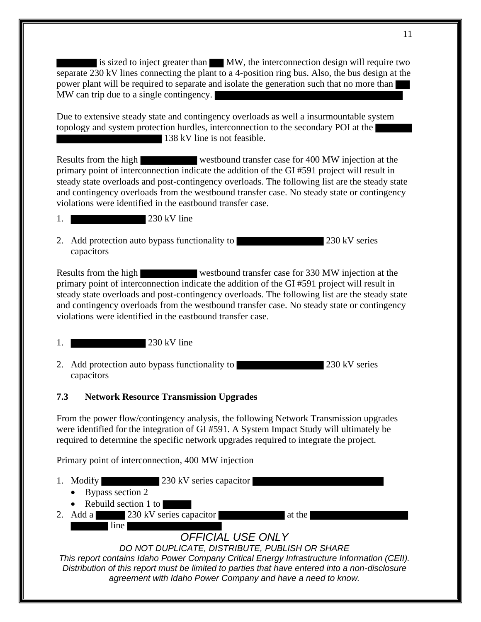is sized to inject greater than MW, the interconnection design will require two separate 230 kV lines connecting the plant to a 4-position ring bus. Also, the bus design at the power plant will be required to separate and isolate the generation such that no more than MW can trip due to a single contingency.

Due to extensive steady state and contingency overloads as well a insurmountable system topology and system protection hurdles, interconnection to the secondary POI at the 138 kV line is not feasible.

Results from the high westbound transfer case for 400 MW injection at the primary point of interconnection indicate the addition of the GI #591 project will result in steady state overloads and post-contingency overloads. The following list are the steady state and contingency overloads from the westbound transfer case. No steady state or contingency violations were identified in the eastbound transfer case.

- 1. 230 kV line
- 2. Add protection auto bypass functionality to 230 kV series capacitors

Results from the high westbound transfer case for 330 MW injection at the primary point of interconnection indicate the addition of the GI #591 project will result in steady state overloads and post-contingency overloads. The following list are the steady state and contingency overloads from the westbound transfer case. No steady state or contingency violations were identified in the eastbound transfer case.

- 1. 230 kV line
- 2. Add protection auto bypass functionality to 230 kV series capacitors

#### **7.3 Network Resource Transmission Upgrades**

From the power flow/contingency analysis, the following Network Transmission upgrades were identified for the integration of GI #591. A System Impact Study will ultimately be required to determine the specific network upgrades required to integrate the project.

Primary point of interconnection, 400 MW injection

- 1. Modify 230 kV series capacitor
	- Bypass section 2
	- Rebuild section 1 to

line

2. Add a  $230 \text{ kV}$  series capacitor at the at the  $\blacksquare$ 

# *OFFICIAL USE ONLY*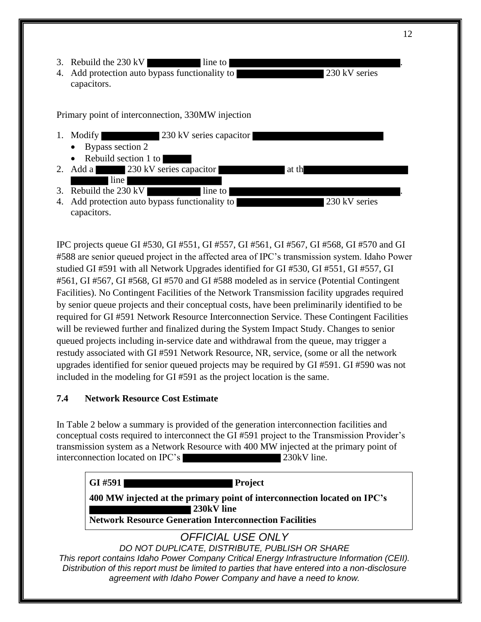- 3. Rebuild the  $230 \text{ kV}$  line to
- 4. Add protection auto bypass functionality to 230 kV series capacitors.

Primary point of interconnection, 330MW injection



IPC projects queue GI #530, GI #551, GI #557, GI #561, GI #567, GI #568, GI #570 and GI #588 are senior queued project in the affected area of IPC's transmission system. Idaho Power studied GI #591 with all Network Upgrades identified for GI #530, GI #551, GI #557, GI #561, GI #567, GI #568, GI #570 and GI #588 modeled as in service (Potential Contingent Facilities). No Contingent Facilities of the Network Transmission facility upgrades required by senior queue projects and their conceptual costs, have been preliminarily identified to be required for GI #591 Network Resource Interconnection Service. These Contingent Facilities will be reviewed further and finalized during the System Impact Study. Changes to senior queued projects including in-service date and withdrawal from the queue, may trigger a restudy associated with GI #591 Network Resource, NR, service, (some or all the network upgrades identified for senior queued projects may be required by GI #591. GI #590 was not included in the modeling for GI #591 as the project location is the same.

## **7.4 Network Resource Cost Estimate**

In Table 2 below a summary is provided of the generation interconnection facilities and conceptual costs required to interconnect the GI #591 project to the Transmission Provider's transmission system as a Network Resource with 400 MW injected at the primary point of interconnection located on IPC's 230kV line.

*OFFICIAL USE ONLY DO NOT DUPLICATE, DISTRIBUTE, PUBLISH OR SHARE This report contains Idaho Power Company Critical Energy Infrastructure Information (CEII). Distribution of this report must be limited to parties that have entered into a non-disclosure*  **GI #591 Project 400 MW injected at the primary point of interconnection located on IPC's 230kV line Network Resource Generation Interconnection Facilities**

*agreement with Idaho Power Company and have a need to know.*

12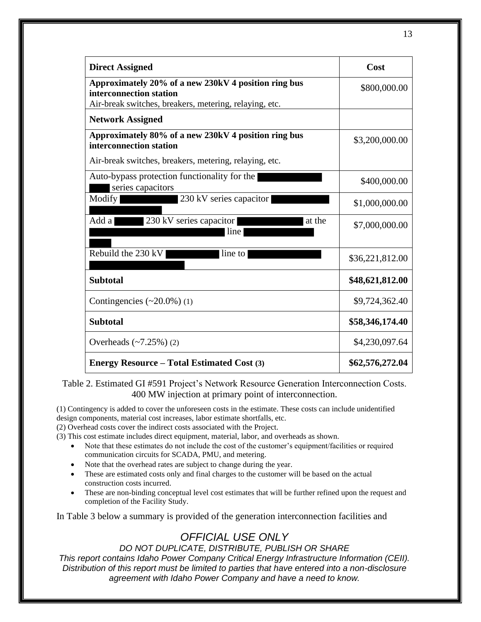| <b>Direct Assigned</b>                                                                                                                    | Cost            |
|-------------------------------------------------------------------------------------------------------------------------------------------|-----------------|
| Approximately 20% of a new 230kV 4 position ring bus<br>interconnection station<br>Air-break switches, breakers, metering, relaying, etc. | \$800,000.00    |
| <b>Network Assigned</b>                                                                                                                   |                 |
| Approximately 80% of a new 230kV 4 position ring bus<br>interconnection station                                                           | \$3,200,000.00  |
| Air-break switches, breakers, metering, relaying, etc.                                                                                    |                 |
| Auto-bypass protection functionality for the<br>series capacitors                                                                         | \$400,000.00    |
| Modify<br>230 kV series capacitor                                                                                                         | \$1,000,000.00  |
| 230 kV series capacitor<br>Add a<br>at the<br>line                                                                                        | \$7,000,000.00  |
| Rebuild the 230 kV<br>line to                                                                                                             | \$36,221,812.00 |
| <b>Subtotal</b>                                                                                                                           | \$48,621,812.00 |
| Contingencies $(\sim 20.0\%)$ (1)                                                                                                         | \$9,724,362.40  |
| <b>Subtotal</b>                                                                                                                           | \$58,346,174.40 |
| Overheads $(-7.25%)$ (2)                                                                                                                  | \$4,230,097.64  |
| <b>Energy Resource – Total Estimated Cost (3)</b>                                                                                         | \$62,576,272.04 |

Table 2. Estimated GI #591 Project's Network Resource Generation Interconnection Costs. 400 MW injection at primary point of interconnection.

(1) Contingency is added to cover the unforeseen costs in the estimate. These costs can include unidentified design components, material cost increases, labor estimate shortfalls, etc.

(2) Overhead costs cover the indirect costs associated with the Project.

(3) This cost estimate includes direct equipment, material, labor, and overheads as shown.

- Note that these estimates do not include the cost of the customer's equipment/facilities or required communication circuits for SCADA, PMU, and metering.
- Note that the overhead rates are subject to change during the year.
- These are estimated costs only and final charges to the customer will be based on the actual construction costs incurred.
- These are non-binding conceptual level cost estimates that will be further refined upon the request and completion of the Facility Study.

In Table 3 below a summary is provided of the generation interconnection facilities and

# *OFFICIAL USE ONLY*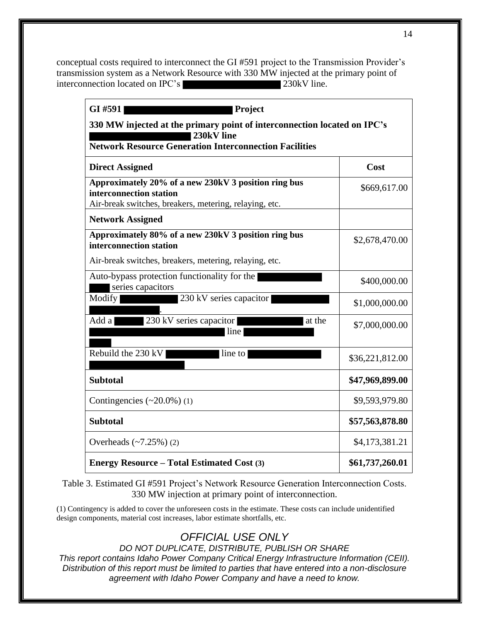conceptual costs required to interconnect the GI #591 project to the Transmission Provider's transmission system as a Network Resource with 330 MW injected at the primary point of interconnection located on IPC's 230kV line.

| GI #591<br><b>Project</b>                                                                                                                               |                 |  |  |  |
|---------------------------------------------------------------------------------------------------------------------------------------------------------|-----------------|--|--|--|
| 330 MW injected at the primary point of interconnection located on IPC's<br>230kV line<br><b>Network Resource Generation Interconnection Facilities</b> |                 |  |  |  |
|                                                                                                                                                         |                 |  |  |  |
| <b>Direct Assigned</b>                                                                                                                                  | Cost            |  |  |  |
| Approximately 20% of a new 230kV 3 position ring bus<br>interconnection station<br>Air-break switches, breakers, metering, relaying, etc.               | \$669,617.00    |  |  |  |
| <b>Network Assigned</b>                                                                                                                                 |                 |  |  |  |
| Approximately 80% of a new 230kV 3 position ring bus<br>interconnection station                                                                         | \$2,678,470.00  |  |  |  |
| Air-break switches, breakers, metering, relaying, etc.                                                                                                  |                 |  |  |  |
| Auto-bypass protection functionality for the<br>series capacitors                                                                                       | \$400,000.00    |  |  |  |
| 230 kV series capacitor<br>Modify                                                                                                                       | \$1,000,000.00  |  |  |  |
| 230 kV series capacitor<br>Add a<br>at the<br>line                                                                                                      | \$7,000,000.00  |  |  |  |
| Rebuild the 230 kV<br>line to                                                                                                                           | \$36,221,812.00 |  |  |  |
| <b>Subtotal</b>                                                                                                                                         | \$47,969,899.00 |  |  |  |
| Contingencies $(\sim 20.0\%)$ (1)                                                                                                                       | \$9,593,979.80  |  |  |  |
| <b>Subtotal</b>                                                                                                                                         | \$57,563,878.80 |  |  |  |
| Overheads $(-7.25%)$ (2)                                                                                                                                | \$4,173,381.21  |  |  |  |
| <b>Energy Resource - Total Estimated Cost (3)</b>                                                                                                       | \$61,737,260.01 |  |  |  |

Table 3. Estimated GI #591 Project's Network Resource Generation Interconnection Costs. 330 MW injection at primary point of interconnection.

(1) Contingency is added to cover the unforeseen costs in the estimate. These costs can include unidentified design components, material cost increases, labor estimate shortfalls, etc.

# *OFFICIAL USE ONLY*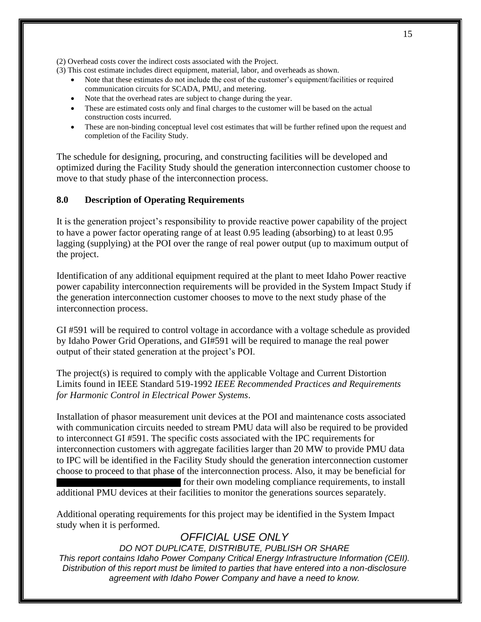(2) Overhead costs cover the indirect costs associated with the Project.

- (3) This cost estimate includes direct equipment, material, labor, and overheads as shown.
	- Note that these estimates do not include the cost of the customer's equipment/facilities or required communication circuits for SCADA, PMU, and metering.
	- Note that the overhead rates are subject to change during the year.
	- These are estimated costs only and final charges to the customer will be based on the actual construction costs incurred.
	- These are non-binding conceptual level cost estimates that will be further refined upon the request and completion of the Facility Study.

The schedule for designing, procuring, and constructing facilities will be developed and optimized during the Facility Study should the generation interconnection customer choose to move to that study phase of the interconnection process.

### **8.0 Description of Operating Requirements**

It is the generation project's responsibility to provide reactive power capability of the project to have a power factor operating range of at least 0.95 leading (absorbing) to at least 0.95 lagging (supplying) at the POI over the range of real power output (up to maximum output of the project.

Identification of any additional equipment required at the plant to meet Idaho Power reactive power capability interconnection requirements will be provided in the System Impact Study if the generation interconnection customer chooses to move to the next study phase of the interconnection process.

GI #591 will be required to control voltage in accordance with a voltage schedule as provided by Idaho Power Grid Operations, and GI#591 will be required to manage the real power output of their stated generation at the project's POI.

The project(s) is required to comply with the applicable Voltage and Current Distortion Limits found in IEEE Standard 519-1992 *IEEE Recommended Practices and Requirements for Harmonic Control in Electrical Power Systems*.

Installation of phasor measurement unit devices at the POI and maintenance costs associated with communication circuits needed to stream PMU data will also be required to be provided to interconnect GI #591. The specific costs associated with the IPC requirements for interconnection customers with aggregate facilities larger than 20 MW to provide PMU data to IPC will be identified in the Facility Study should the generation interconnection customer choose to proceed to that phase of the interconnection process. Also, it may be beneficial for for their own modeling compliance requirements, to install additional PMU devices at their facilities to monitor the generations sources separately.

Additional operating requirements for this project may be identified in the System Impact study when it is performed.

# *OFFICIAL USE ONLY*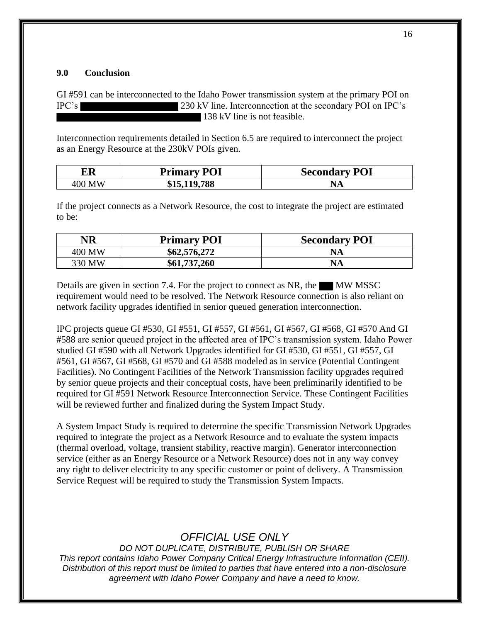#### **9.0 Conclusion**

GI #591 can be interconnected to the Idaho Power transmission system at the primary POI on IPC's 230 kV line. Interconnection at the secondary POI on IPC's 138 kV line is not feasible.

Interconnection requirements detailed in Section 6.5 are required to interconnect the project as an Energy Resource at the 230kV POIs given.

| ER     | <b>Primary POI</b> | <b>Secondary POI</b> |
|--------|--------------------|----------------------|
| 400 MW | \$15,119,788       |                      |

If the project connects as a Network Resource, the cost to integrate the project are estimated to be:

| NR     | <b>Primary POI</b> | <b>Secondary POI</b> |
|--------|--------------------|----------------------|
| 400 MW | \$62,576,272       | NA                   |
| 330 MW | \$61,737,260       | <b>NA</b>            |

Details are given in section 7.4. For the project to connect as NR, the  $\blacksquare$  MW MSSC requirement would need to be resolved. The Network Resource connection is also reliant on network facility upgrades identified in senior queued generation interconnection.

IPC projects queue GI #530, GI #551, GI #557, GI #561, GI #567, GI #568, GI #570 And GI #588 are senior queued project in the affected area of IPC's transmission system. Idaho Power studied GI #590 with all Network Upgrades identified for GI #530, GI #551, GI #557, GI #561, GI #567, GI #568, GI #570 and GI #588 modeled as in service (Potential Contingent Facilities). No Contingent Facilities of the Network Transmission facility upgrades required by senior queue projects and their conceptual costs, have been preliminarily identified to be required for GI #591 Network Resource Interconnection Service. These Contingent Facilities will be reviewed further and finalized during the System Impact Study.

A System Impact Study is required to determine the specific Transmission Network Upgrades required to integrate the project as a Network Resource and to evaluate the system impacts (thermal overload, voltage, transient stability, reactive margin). Generator interconnection service (either as an Energy Resource or a Network Resource) does not in any way convey any right to deliver electricity to any specific customer or point of delivery. A Transmission Service Request will be required to study the Transmission System Impacts.

# *OFFICIAL USE ONLY*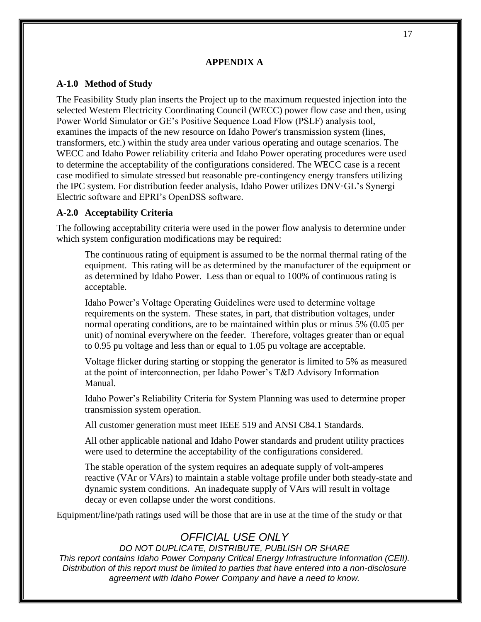#### **APPENDIX A**

#### **A-1.0 Method of Study**

The Feasibility Study plan inserts the Project up to the maximum requested injection into the selected Western Electricity Coordinating Council (WECC) power flow case and then, using Power World Simulator or GE's Positive Sequence Load Flow (PSLF) analysis tool, examines the impacts of the new resource on Idaho Power's transmission system (lines, transformers, etc.) within the study area under various operating and outage scenarios. The WECC and Idaho Power reliability criteria and Idaho Power operating procedures were used to determine the acceptability of the configurations considered. The WECC case is a recent case modified to simulate stressed but reasonable pre-contingency energy transfers utilizing the IPC system. For distribution feeder analysis, Idaho Power utilizes DNV·GL's Synergi Electric software and EPRI's OpenDSS software.

#### **A-2.0 Acceptability Criteria**

The following acceptability criteria were used in the power flow analysis to determine under which system configuration modifications may be required:

The continuous rating of equipment is assumed to be the normal thermal rating of the equipment. This rating will be as determined by the manufacturer of the equipment or as determined by Idaho Power. Less than or equal to 100% of continuous rating is acceptable.

Idaho Power's Voltage Operating Guidelines were used to determine voltage requirements on the system. These states, in part, that distribution voltages, under normal operating conditions, are to be maintained within plus or minus 5% (0.05 per unit) of nominal everywhere on the feeder. Therefore, voltages greater than or equal to 0.95 pu voltage and less than or equal to 1.05 pu voltage are acceptable.

Voltage flicker during starting or stopping the generator is limited to 5% as measured at the point of interconnection, per Idaho Power's T&D Advisory Information Manual.

Idaho Power's Reliability Criteria for System Planning was used to determine proper transmission system operation.

All customer generation must meet IEEE 519 and ANSI C84.1 Standards.

All other applicable national and Idaho Power standards and prudent utility practices were used to determine the acceptability of the configurations considered.

The stable operation of the system requires an adequate supply of volt-amperes reactive (VAr or VArs) to maintain a stable voltage profile under both steady-state and dynamic system conditions. An inadequate supply of VArs will result in voltage decay or even collapse under the worst conditions.

Equipment/line/path ratings used will be those that are in use at the time of the study or that

# *OFFICIAL USE ONLY*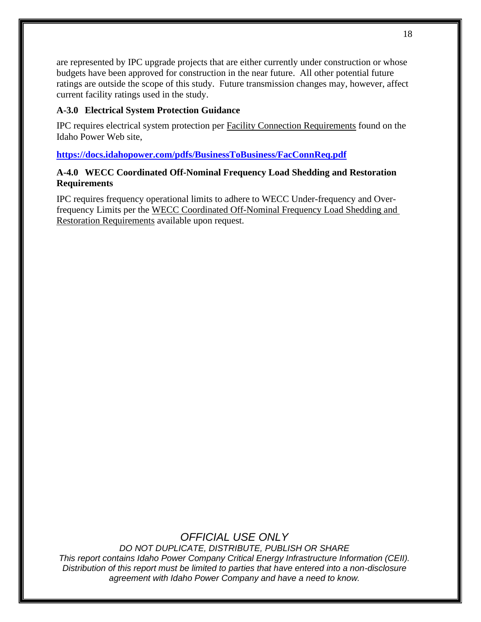are represented by IPC upgrade projects that are either currently under construction or whose budgets have been approved for construction in the near future. All other potential future ratings are outside the scope of this study. Future transmission changes may, however, affect current facility ratings used in the study.

## **A-3.0 Electrical System Protection Guidance**

IPC requires electrical system protection per Facility Connection Requirements found on the Idaho Power Web site,

**https://docs.idahopower.com/pdfs/BusinessToBusiness/FacConnReq.pdf**

## **A-4.0 WECC Coordinated Off-Nominal Frequency Load Shedding and Restoration Requirements**

IPC requires frequency operational limits to adhere to WECC Under-frequency and Overfrequency Limits per the WECC Coordinated Off-Nominal Frequency Load Shedding and Restoration Requirements available upon request.

# *OFFICIAL USE ONLY*